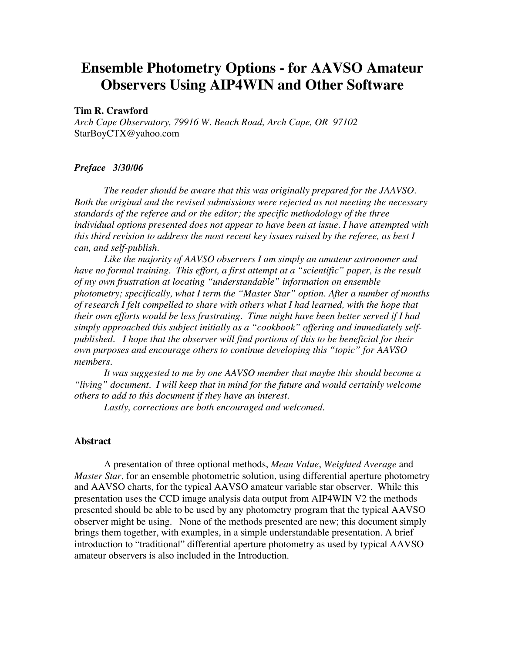# **Ensemble Photometry Options - for AAVSO Amateur Observers Using AIP4WIN and Other Software**

## **Tim R. Crawford**

*Arch Cape Observatory, 79916 W. Beach Road, Arch Cape, OR 97102* StarBoyCTX@yahoo.com

#### *Preface 3/30/06*

*The reader should be aware that this was originally prepared for the JAAVSO. Both the original and the revised submissions were rejected as not meeting the necessary standards of the referee and or the editor; the specific methodology of the three individual options presented does not appear to have been at issue. I have attempted with this third revision to address the most recent key issues raised by the referee, as best I can, and self-publish.*

*Like the majority of AAVSO observers I am simply an amateur astronomer and have no formal training. This effort, a first attempt at a "scientific" paper, is the result of my own frustration at locating "understandable" information on ensemble photometry; specifically, what I term the "Master Star" option. After a number of months of research I felt compelled to share with others what I had learned, with the hope that their own efforts would be less frustrating. Time might have been better served if I had simply approached this subject initially as a "cookbook" offering and immediately selfpublished. I hope that the observer will find portions of this to be beneficial for their own purposes and encourage others to continue developing this "topic" for AAVSO members.*

*It was suggested to me by one AAVSO member that maybe this should become a "living" document. I will keep that in mind for the future and would certainly welcome others to add to this document if they have an interest.*

*Lastly, corrections are both encouraged and welcomed.*

#### **Abstract**

A presentation of three optional methods, *Mean Value*, *Weighted Average* and *Master Star*, for an ensemble photometric solution, using differential aperture photometry and AAVSO charts, for the typical AAVSO amateur variable star observer. While this presentation uses the CCD image analysis data output from AIP4WIN V2 the methods presented should be able to be used by any photometry program that the typical AAVSO observer might be using. None of the methods presented are new; this document simply brings them together, with examples, in a simple understandable presentation. A brief introduction to "traditional" differential aperture photometry as used by typical AAVSO amateur observers is also included in the Introduction.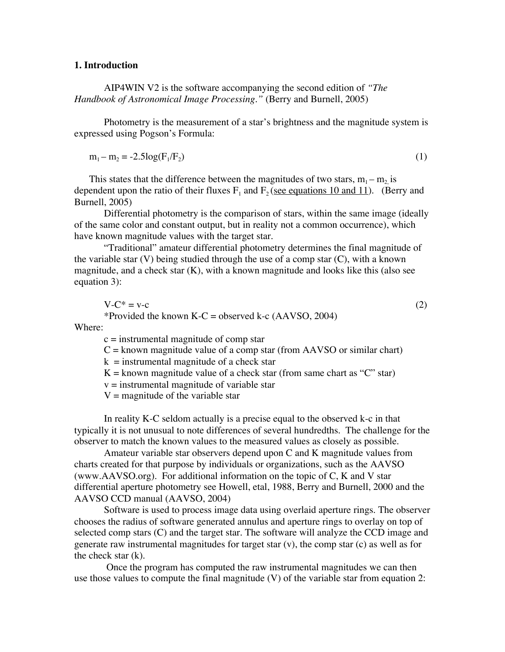# **1. Introduction**

AIP4WIN V2 is the software accompanying the second edition of *"The Handbook of Astronomical Image Processing."* (Berry and Burnell, 2005)

Photometry is the measurement of a star's brightness and the magnitude system is expressed using Pogson's Formula:

 $m_1 - m_2 = -2.5\log(F_1/F_2)$  (1)

This states that the difference between the magnitudes of two stars,  $m_1 - m_2$  is dependent upon the ratio of their fluxes  $F_1$  and  $F_2$  (see equations 10 and 11). (Berry and Burnell, 2005)

Differential photometry is the comparison of stars, within the same image (ideally of the same color and constant output, but in reality not a common occurrence), which have known magnitude values with the target star.

"Traditional" amateur differential photometry determines the final magnitude of the variable star  $(V)$  being studied through the use of a comp star  $(C)$ , with a known magnitude, and a check star (K), with a known magnitude and looks like this (also see equation 3):

 $V-C^* = v-c$  (2) \*Provided the known  $K-C =$  observed k-c (AAVSO, 2004)

Where:

 $c =$  instrumental magnitude of comp star

 $C =$  known magnitude value of a comp star (from AAVSO or similar chart)

 $k =$  instrumental magnitude of a check star

 $K =$  known magnitude value of a check star (from same chart as "C" star)

 $v =$  instrumental magnitude of variable star

 $V =$  magnitude of the variable star

In reality K-C seldom actually is a precise equal to the observed k-c in that typically it is not unusual to note differences of several hundredths. The challenge for the observer to match the known values to the measured values as closely as possible.

Amateur variable star observers depend upon C and K magnitude values from charts created for that purpose by individuals or organizations, such as the AAVSO (www.AAVSO.org). For additional information on the topic of C, K and V star differential aperture photometry see Howell, etal, 1988, Berry and Burnell, 2000 and the AAVSO CCD manual (AAVSO, 2004)

Software is used to process image data using overlaid aperture rings. The observer chooses the radius of software generated annulus and aperture rings to overlay on top of selected comp stars (C) and the target star. The software will analyze the CCD image and generate raw instrumental magnitudes for target star (v), the comp star (c) as well as for the check star (k).

 Once the program has computed the raw instrumental magnitudes we can then use those values to compute the final magnitude (V) of the variable star from equation 2: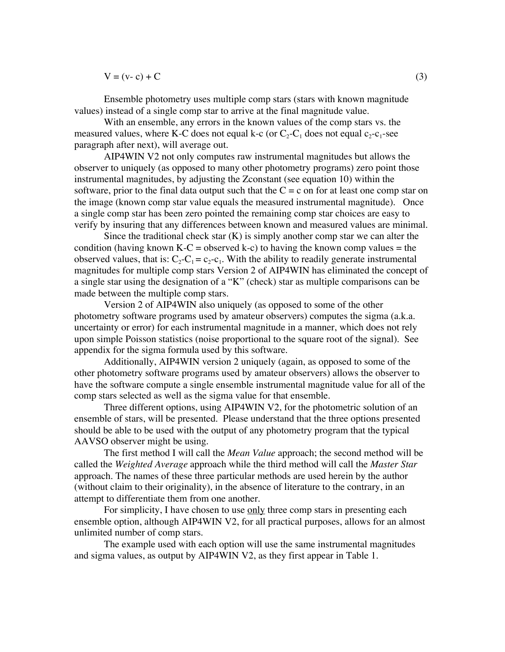$V = (v - c) + C$  (3)

Ensemble photometry uses multiple comp stars (stars with known magnitude values) instead of a single comp star to arrive at the final magnitude value.

With an ensemble, any errors in the known values of the comp stars vs. the measured values, where K-C does not equal k-c (or  $C_2-C_1$  does not equal  $c_2-c_1$ -see paragraph after next), will average out.

AIP4WIN V2 not only computes raw instrumental magnitudes but allows the observer to uniquely (as opposed to many other photometry programs) zero point those instrumental magnitudes, by adjusting the Zconstant (see equation 10) within the software, prior to the final data output such that the  $C = c$  on for at least one comp star on the image (known comp star value equals the measured instrumental magnitude). Once a single comp star has been zero pointed the remaining comp star choices are easy to verify by insuring that any differences between known and measured values are minimal.

Since the traditional check star  $(K)$  is simply another comp star we can alter the condition (having known K-C = observed k-c) to having the known comp values = the observed values, that is:  $C_2-C_1 = c_2-c_1$ . With the ability to readily generate instrumental magnitudes for multiple comp stars Version 2 of AIP4WIN has eliminated the concept of a single star using the designation of a "K" (check) star as multiple comparisons can be made between the multiple comp stars.

Version 2 of AIP4WIN also uniquely (as opposed to some of the other photometry software programs used by amateur observers) computes the sigma (a.k.a. uncertainty or error) for each instrumental magnitude in a manner, which does not rely upon simple Poisson statistics (noise proportional to the square root of the signal). See appendix for the sigma formula used by this software.

Additionally, AIP4WIN version 2 uniquely (again, as opposed to some of the other photometry software programs used by amateur observers) allows the observer to have the software compute a single ensemble instrumental magnitude value for all of the comp stars selected as well as the sigma value for that ensemble.

Three different options, using AIP4WIN V2, for the photometric solution of an ensemble of stars, will be presented. Please understand that the three options presented should be able to be used with the output of any photometry program that the typical AAVSO observer might be using.

The first method I will call the *Mean Value* approach; the second method will be called the *Weighted Average* approach while the third method will call the *Master Star* approach. The names of these three particular methods are used herein by the author (without claim to their originality), in the absence of literature to the contrary, in an attempt to differentiate them from one another.

For simplicity, I have chosen to use only three comp stars in presenting each ensemble option, although AIP4WIN V2, for all practical purposes, allows for an almost unlimited number of comp stars.

The example used with each option will use the same instrumental magnitudes and sigma values, as output by AIP4WIN V2, as they first appear in Table 1.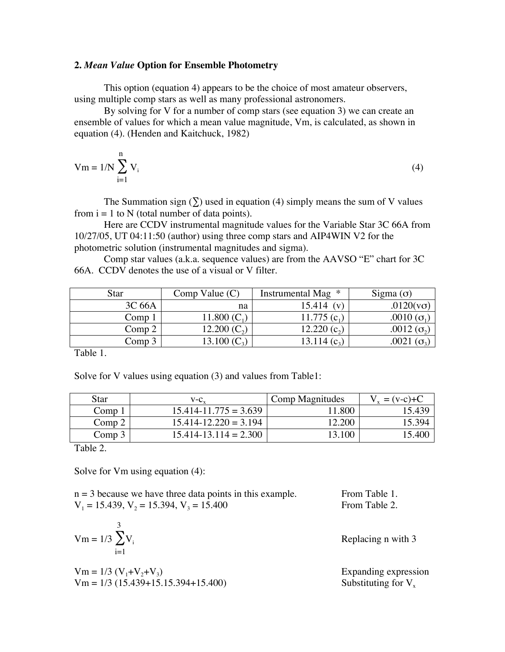## **2.** *Mean Value* **Option for Ensemble Photometry**

This option (equation 4) appears to be the choice of most amateur observers, using multiple comp stars as well as many professional astronomers.

By solving for V for a number of comp stars (see equation 3) we can create an ensemble of values for which a mean value magnitude, Vm, is calculated, as shown in equation (4). (Henden and Kaitchuck, 1982)

$$
Vm = 1/N \sum_{i=1}^{n} V_i
$$
\n<sup>(4)</sup>

The Summation sign  $(\Sigma)$  used in equation (4) simply means the sum of V values from  $i = 1$  to N (total number of data points).

Here are CCDV instrumental magnitude values for the Variable Star 3C 66A from 10/27/05, UT 04:11:50 (author) using three comp stars and AIP4WIN V2 for the photometric solution (instrumental magnitudes and sigma).

Comp star values (a.k.a. sequence values) are from the AAVSO "E" chart for 3C 66A. CCDV denotes the use of a visual or V filter.

| Star   | Comp Value $(C)$ | Instrumental Mag *     | Sigma $($ o $)$      |
|--------|------------------|------------------------|----------------------|
| 3C 66A | na               | 15.414<br>$\mathbf{v}$ | $.0120(v\sigma)$     |
| Comp 1 | 11.800 $(C_1)$   | 11.775 $(c_1)$         | .0010 ( $\sigma_1$ ) |
| Comp 2 | 12.200 $(C_2)$   | 12.220 $(c_2)$         | .0012 $(\sigma_2)$   |
| Comp 3 |                  | $[3.114(c_{3})]$       |                      |

Table 1.

Solve for V values using equation (3) and values from Table1:

| Star              | $V-C_{v}$                 | Comp Magnitudes | $= (v-c)+C$ |
|-------------------|---------------------------|-----------------|-------------|
| Comp <sub>1</sub> | $15.414 - 11.775 = 3.639$ | .800            | I 5.439     |
| Comp <sub>2</sub> | $15.414 - 12.220 = 3.194$ | 12.200          | -5.394      |
| Comp 3            | $15.414 - 13.114 = 2.300$ | 13.100          | 15.400      |

Table 2.

Solve for Vm using equation (4):

 $n = 3$  because we have three data points in this example. From Table 1.  $V_1 = 15.439, V_2 = 15.394, V_3 = 15.400$  From Table 2.

$$
Vm = 1/3 \sum_{i=1}^{3} V_i
$$

$$
Vm = 1/3 (V_1 + V_2 + V_3)
$$
  
\n $Vm = 1/3 (15.439 + 15.15.394 + 15.400)$ 

Replacing  $n$  with 3

Expanding expression Substituting for  $V_x$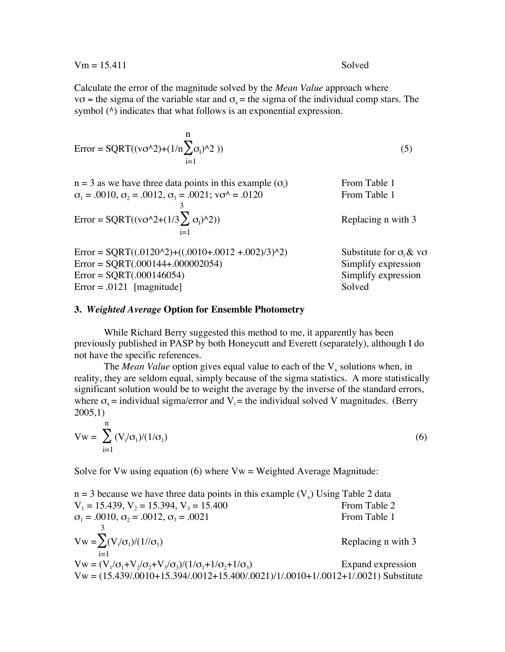$$
Vm = 15.411
$$

Calculate the error of the magnitude solved by the *Mean Value* approach where v $\sigma$  = the sigma of the variable star and  $\sigma_x$  = the sigma of the individual comp stars. The symbol ( $\land$ ) indicates that what follows is an exponential expression.

$$
Error = SQRT((v\sigma^2) + (1/n\sum_{i=1}^{n} \sigma_i)^2))
$$
\n(5)

n = 3 as we have three data points in this example (
$$
\sigma_i
$$
)  
\n $\sigma_1 = .0010$ ,  $\sigma_2 = .0012$ ,  $\sigma_3 = .0021$ ;  $v\sigma^4 = .0120$   
\nError =  $SQRT((v\sigma^42 + (1/3\sum_{i=1}^{3} \sigma_i)^42))$   
\nError =  $SQRT((.0120^42) + ((.0010 + .0012 + .002)/3)^42)$   
\nError =  $SQRT(.000144 + .000002054)$   
\nError =  $SQRT(.000146054)$   
\nError =  $SQRT(.000146054)$   
\nSimplify expression  
\nSimplify expression  
\nSimplify expression

Error = .0121 [magnitude] Solved

#### **3.** *Weighted Average* **Option for Ensemble Photometry**

While Richard Berry suggested this method to me, it apparently has been previously published in PASP by both Honeycutt and Everett (separately), although I do not have the specific references.

The *Mean Value* option gives equal value to each of the  $V<sub>x</sub>$  solutions when, in reality, they are seldom equal, simply because of the sigma statistics. A more statistically significant solution would be to weight the average by the inverse of the standard errors, where  $\sigma_{\rm x}$  = individual sigma/error and V<sub>i</sub> = the individual solved V magnitudes. (Berry 2005,1)

$$
Vw = \sum_{i=1}^{n} (V_i/\sigma_1)/(1/\sigma_1)
$$
 (6)

Solve for Vw using equation  $(6)$  where Vw = Weighted Average Magnitude:

| $n = 3$ because we have three data points in this example $(V_x)$ Using Table 2 data       |                    |
|--------------------------------------------------------------------------------------------|--------------------|
| $V_1 = 15.439$ , $V_2 = 15.394$ , $V_3 = 15.400$                                           | From Table 2       |
| $\sigma_1 = .0010$ , $\sigma_2 = .0012$ , $\sigma_3 = .0021$                               | From Table 1       |
|                                                                                            |                    |
| $Vw = \sum (V_i / \sigma_1) / (1 / / \sigma_1)$                                            | Replacing n with 3 |
| $i=1$                                                                                      |                    |
| $Vw = (V_1/\sigma_1 + V_2/\sigma_2 + V_3/\sigma_3)/(1/\sigma_1 + 1/\sigma_2 + 1/\sigma_3)$ | Expand expression  |
| $Vw = (15.439/.0010+15.394/.0012+15.400/.0021)/1/.0010+1/.0012+1/.0021)$ Substitute        |                    |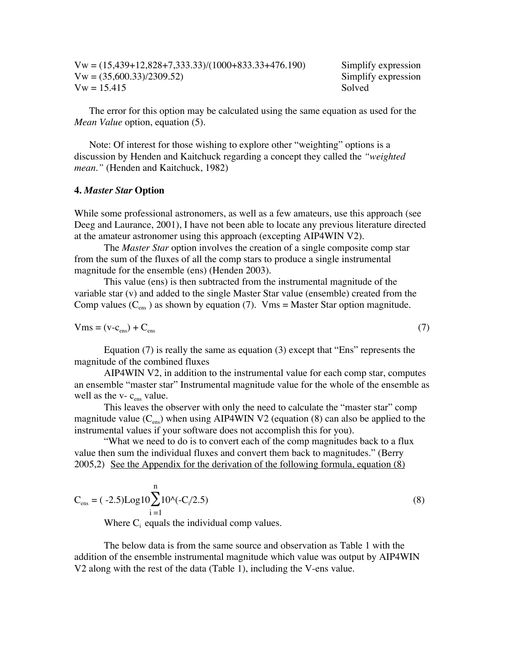$Vw = (15,439+12,828+7,333.33)/(1000+833.33+476.190)$  Simplify expression  $Vw = (35,600.33)/2309.52$  Simplify expression  $Vw = 15.415$  Solved

The error for this option may be calculated using the same equation as used for the *Mean Value* option, equation (5).

Note: Of interest for those wishing to explore other "weighting" options is a discussion by Henden and Kaitchuck regarding a concept they called the *"weighted mean."* (Henden and Kaitchuck, 1982)

#### **4.** *Master Star* **Option**

While some professional astronomers, as well as a few amateurs, use this approach (see Deeg and Laurance, 2001), I have not been able to locate any previous literature directed at the amateur astronomer using this approach (excepting AIP4WIN V2).

The *Master Star* option involves the creation of a single composite comp star from the sum of the fluxes of all the comp stars to produce a single instrumental magnitude for the ensemble (ens) (Henden 2003).

This value (ens) is then subtracted from the instrumental magnitude of the variable star (v) and added to the single Master Star value (ensemble) created from the Comp values  $(C_{\text{ens}})$  as shown by equation (7). Vms = Master Star option magnitude.

$$
Vms = (v - c_{\rm ens}) + C_{\rm ens}
$$
 (7)

Equation (7) is really the same as equation (3) except that "Ens" represents the magnitude of the combined fluxes

AIP4WIN V2, in addition to the instrumental value for each comp star, computes an ensemble "master star" Instrumental magnitude value for the whole of the ensemble as well as the  $v - c_{\text{ens}}$  value.

This leaves the observer with only the need to calculate the "master star" comp magnitude value  $(C_{\text{ens}})$  when using AIP4WIN V2 (equation (8) can also be applied to the instrumental values if your software does not accomplish this for you).

"What we need to do is to convert each of the comp magnitudes back to a flux value then sum the individual fluxes and convert them back to magnitudes." (Berry 2005,2)See the Appendix for the derivation of the following formula, equation (8)

$$
C_{\text{ens}} = (-2.5) \text{Log} 10 \sum_{i=1}^{n} 10^{i} (-C_i / 2.5)
$$
\n(8)

Where  $C_i$  equals the individual comp values.

The below data is from the same source and observation as Table 1 with the addition of the ensemble instrumental magnitude which value was output by AIP4WIN V2 along with the rest of the data (Table 1), including the V-ens value.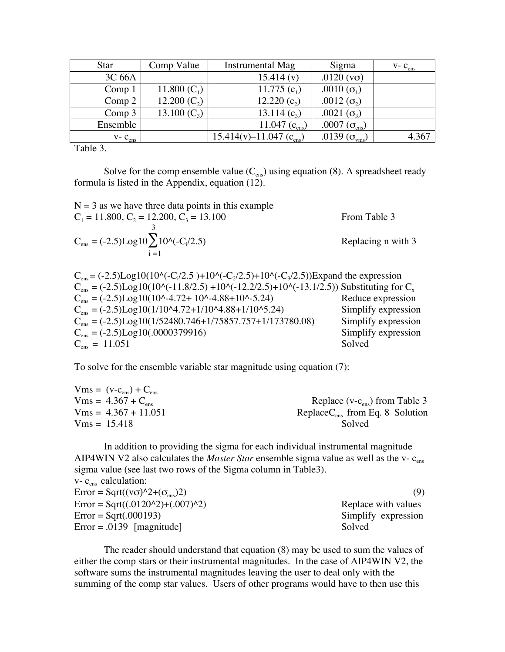| Star              | Comp Value     | <b>Instrumental Mag</b>    | Sigma                                | $V - C_{ens}$ |
|-------------------|----------------|----------------------------|--------------------------------------|---------------|
| 3C 66A            |                | 15.414(v)                  | .0120 $(v\sigma)$                    |               |
| Comp <sub>1</sub> | 11.800 $(C_1)$ | 11.775 $(c_1)$             | .0010 $(\sigma_1)$                   |               |
| Comp <sub>2</sub> | 12.200 $(C_2)$ | 12.220 $(c_2)$             | .0012 $(\sigma_2)$                   |               |
| Comp <sub>3</sub> | 13.100 $(C_3)$ | 13.114 $(c_3)$             | .0021 $(\sigma_3)$                   |               |
| Ensemble          |                | 11.047 $(c_{\text{ens}})$  | .0007 $(\sigma_{\text{\tiny{ens}}})$ |               |
| $V - C_{ens}$     |                | $15.414(v) - 11.047(cens)$ | .0139 ( $\sigma_{\text{vms}}$ )      | 4.367         |

Table 3.

Solve for the comp ensemble value  $(C_{\text{ens}})$  using equation (8). A spreadsheet ready formula is listed in the Appendix, equation (12).

$$
N = 3
$$
as we have three data points in this example  
\n
$$
C_1 = 11.800, C_2 = 12.200, C_3 = 13.100
$$
 From Table 3  
\n
$$
C_{\text{ens}} = (-2.5) \text{Log} 10 \sum_{i=1}^{3} 10^{i} (-C_i/2.5)
$$
 Replacing n with 3

 $C_{\text{ens}} = (-2.5)$ Log10(10^(-C<sub>i</sub>/2.5)+10^(-C<sub>2</sub>/2.5)+10^(-C<sub>3</sub>/2.5))Expand the expression  $C_{\text{ens}} = (-2.5) \text{Log}10(10^{(-11.8/2.5)} + 10^{(-12.2/2.5)} + 10^{(-13.1/2.5)})$  Substituting for  $C_x$ <br>  $C_{\text{ens}} = (-2.5) \text{Log}10(10^{(-14.72)} + 10^{(-14.88)} + 10^{(-15.2/2.5)})$  Reduce expression  $C_{\text{ens}} = (-2.5) \text{Log} 10(10^{\text{A}} - 4.72 + 10^{\text{A}} - 4.88 + 10^{\text{A}} - 5.24)$  $C_{ens} = (-2.5) \text{Log}10(1/10^{4} - 72 + 1/10^{4} - 88 + 1/10^{6} - 5.24)$  Simplify expression<br>  $C_{ens} = (-2.5) \text{Log}10(1/52480.746 + 1/75857.757 + 1/173780.08)$  Simplify expression  $C_{ens} = (-2.5) \text{Log}10(1/52480.746+1/75857.757+1/173780.08)$  Simplify expression<br>  $C_{ens} = (-2.5) \text{Log}10(.0000379916)$  Simplify expression  $C_{\text{ens}} = (-2.5) \text{Log}10(.0000379916)$  Simplif<br>  $C_{\text{ens}} = 11.051$  Solved  $C_{\text{ens}} = 11.051$ 

To solve for the ensemble variable star magnitude using equation (7):

| $Vms = (v-cens) + Cens$        |                                   |
|--------------------------------|-----------------------------------|
| $Vms = 4.367 + C_{\text{ens}}$ | Replace ( $v-cens$ ) from Table 3 |
| $Vms = 4.367 + 11.051$         | $ReplaceCens$ from Eq. 8 Solution |
| $Vms = 15.418$                 | Solved                            |

In addition to providing the sigma for each individual instrumental magnitude AIP4WIN V2 also calculates the *Master Star* ensemble sigma value as well as the v- c<sub>ens</sub> sigma value (see last two rows of the Sigma column in Table3).

| $v - cens$ calculation:                                  |                     |
|----------------------------------------------------------|---------------------|
| Error = Sqrt( $(v\sigma)$ ^2+ $(\sigma_{\text{ens}})$ 2) | (9)                 |
| $Error = Sqrt((.0120^2)+(.007)^2)$                       | Replace with values |
| $Error = Sqrt(.000193)$                                  | Simplify expression |
| $Error = .0139$ [magnitude]                              | Solved              |

The reader should understand that equation (8) may be used to sum the values of either the comp stars or their instrumental magnitudes. In the case of AIP4WIN V2, the software sums the instrumental magnitudes leaving the user to deal only with the summing of the comp star values. Users of other programs would have to then use this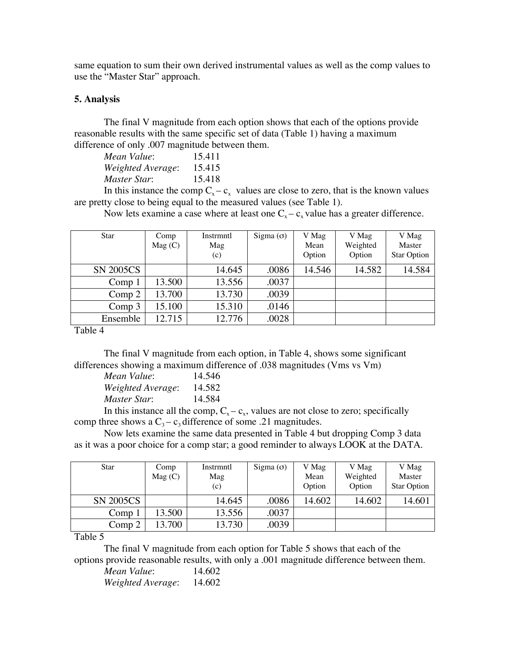same equation to sum their own derived instrumental values as well as the comp values to use the "Master Star" approach.

# **5. Analysis**

The final V magnitude from each option shows that each of the options provide reasonable results with the same specific set of data (Table 1) having a maximum difference of only .007 magnitude between them.

| Mean Value:       | 15.411 |
|-------------------|--------|
| Weighted Average: | 15.415 |
| Master Star:      | 15.418 |

In this instance the comp  $C_x - c_x$  values are close to zero, that is the known values are pretty close to being equal to the measured values (see Table 1).

Now lets examine a case where at least one  $C_x - c_x$  value has a greater difference.

| <b>Star</b>       | Comp<br>Mag(C) | Instrmntl<br>Mag<br>(c) | Sigma $(σ)$ | V Mag<br>Mean<br>Option | V Mag<br>Weighted<br>Option | V Mag<br>Master<br><b>Star Option</b> |
|-------------------|----------------|-------------------------|-------------|-------------------------|-----------------------------|---------------------------------------|
| <b>SN 2005CS</b>  |                | 14.645                  | .0086       | 14.546                  | 14.582                      | 14.584                                |
| Comp <sub>1</sub> | 13.500         | 13.556                  | .0037       |                         |                             |                                       |
| Comp 2            | 13.700         | 13.730                  | .0039       |                         |                             |                                       |
| Comp <sub>3</sub> | 15.100         | 15.310                  | .0146       |                         |                             |                                       |
| Ensemble          | 12.715         | 12.776                  | .0028       |                         |                             |                                       |

Table 4

The final V magnitude from each option, in Table 4, shows some significant differences showing a maximum difference of .038 magnitudes (Vms vs Vm)

| Mean Value:       | 14.546 |
|-------------------|--------|
| Weighted Average: | 14.582 |
| Master Star:      | 14.584 |
|                   |        |

In this instance all the comp,  $C_x - c_x$ , values are not close to zero; specifically comp three shows a  $C_3 - c_3$  difference of some .21 magnitudes.

Now lets examine the same data presented in Table 4 but dropping Comp 3 data as it was a poor choice for a comp star; a good reminder to always LOOK at the DATA.

| <b>Star</b>      | Comp<br>Mag(C) | Instrmntl<br>Mag<br>(c) | Sigma $(\sigma)$ | V Mag<br>Mean<br>Option | V Mag<br>Weighted<br>Option | V Mag<br>Master<br><b>Star Option</b> |
|------------------|----------------|-------------------------|------------------|-------------------------|-----------------------------|---------------------------------------|
| <b>SN 2005CS</b> |                | 14.645                  | .0086            | 14.602                  | 14.602                      | 14.601                                |
| Comp 1           | 13.500         | 13.556                  | .0037            |                         |                             |                                       |
| Comp 2           | 13.700         | 13.730                  | .0039            |                         |                             |                                       |

Table 5

The final V magnitude from each option for Table 5 shows that each of the options provide reasonable results, with only a .001 magnitude difference between them.

*Mean Value*: 14.602 *Weighted Average*: 14.602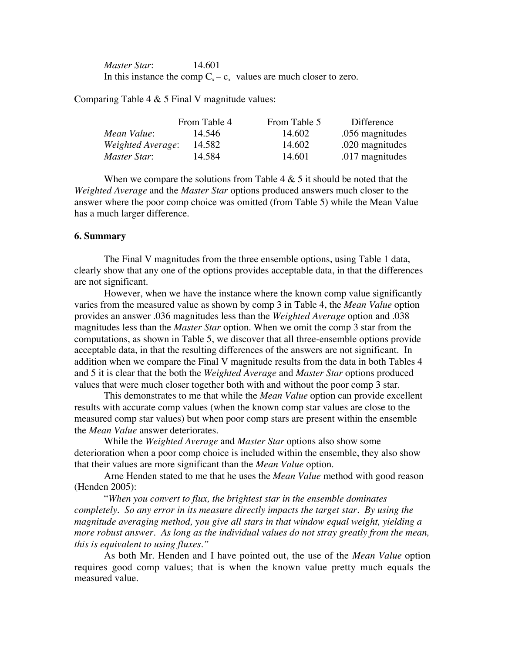*Master Star*: 14.601 In this instance the comp  $C_x - c_x$  values are much closer to zero.

Comparing Table 4  $&$  5 Final V magnitude values:

|                   | From Table 4 | From Table 5 | Difference      |
|-------------------|--------------|--------------|-----------------|
| Mean Value:       | 14.546       | 14.602       | .056 magnitudes |
| Weighted Average: | 14.582       | 14.602       | .020 magnitudes |
| Master Star:      | 14.584       | 14.601       | .017 magnitudes |

When we compare the solutions from Table  $4 \& 5$  it should be noted that the *Weighted Average* and the *Master Star* options produced answers much closer to the answer where the poor comp choice was omitted (from Table 5) while the Mean Value has a much larger difference.

#### **6. Summary**

The Final V magnitudes from the three ensemble options, using Table 1 data, clearly show that any one of the options provides acceptable data, in that the differences are not significant.

However, when we have the instance where the known comp value significantly varies from the measured value as shown by comp 3 in Table 4, the *Mean Value* option provides an answer .036 magnitudes less than the *Weighted Average* option and .038 magnitudes less than the *Master Star* option. When we omit the comp 3 star from the computations, as shown in Table 5, we discover that all three-ensemble options provide acceptable data, in that the resulting differences of the answers are not significant. In addition when we compare the Final V magnitude results from the data in both Tables 4 and 5 it is clear that the both the *Weighted Average* and *Master Star* options produced values that were much closer together both with and without the poor comp 3 star.

This demonstrates to me that while the *Mean Value* option can provide excellent results with accurate comp values (when the known comp star values are close to the measured comp star values) but when poor comp stars are present within the ensemble the *Mean Value* answer deteriorates.

While the *Weighted Average* and *Master Star* options also show some deterioration when a poor comp choice is included within the ensemble, they also show that their values are more significant than the *Mean Value* option.

Arne Henden stated to me that he uses the *Mean Value* method with good reason (Henden 2005):

"*When you convert to flux, the brightest star in the ensemble dominates completely. So any error in its measure directly impacts the target star. By using the magnitude averaging method, you give all stars in that window equal weight, yielding a more robust answer. As long as the individual values do not stray greatly from the mean, this is equivalent to using fluxes."*

As both Mr. Henden and I have pointed out, the use of the *Mean Value* option requires good comp values; that is when the known value pretty much equals the measured value.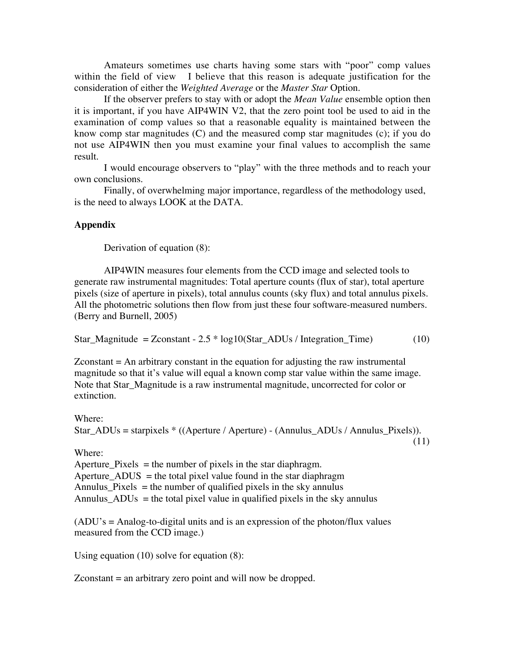Amateurs sometimes use charts having some stars with "poor" comp values within the field of view I believe that this reason is adequate justification for the consideration of either the *Weighted Average* or the *Master Star* Option.

If the observer prefers to stay with or adopt the *Mean Value* ensemble option then it is important, if you have AIP4WIN V2, that the zero point tool be used to aid in the examination of comp values so that a reasonable equality is maintained between the know comp star magnitudes (C) and the measured comp star magnitudes (c); if you do not use AIP4WIN then you must examine your final values to accomplish the same result.

I would encourage observers to "play" with the three methods and to reach your own conclusions.

Finally, of overwhelming major importance, regardless of the methodology used, is the need to always LOOK at the DATA.

# **Appendix**

Derivation of equation (8):

AIP4WIN measures four elements from the CCD image and selected tools to generate raw instrumental magnitudes: Total aperture counts (flux of star), total aperture pixels (size of aperture in pixels), total annulus counts (sky flux) and total annulus pixels. All the photometric solutions then flow from just these four software-measured numbers. (Berry and Burnell, 2005)

Star\_Magnitude =  $Z$ constant -  $2.5 * log10(Star_ADUs / Integration_Time)$  (10)

Zconstant = An arbitrary constant in the equation for adjusting the raw instrumental magnitude so that it's value will equal a known comp star value within the same image. Note that Star\_Magnitude is a raw instrumental magnitude, uncorrected for color or extinction.

Where: Star\_ADUs = starpixels \* ((Aperture / Aperture) - (Annulus\_ADUs / Annulus\_Pixels)).

(11)

Where:

Aperture\_Pixels  $=$  the number of pixels in the star diaphragm. Aperture  $ADUS =$  the total pixel value found in the star diaphragm Annulus\_Pixels  $=$  the number of qualified pixels in the sky annulus Annulus\_ADUs = the total pixel value in qualified pixels in the sky annulus

(ADU's = Analog-to-digital units and is an expression of the photon/flux values measured from the CCD image.)

Using equation (10) solve for equation (8):

Zconstant = an arbitrary zero point and will now be dropped.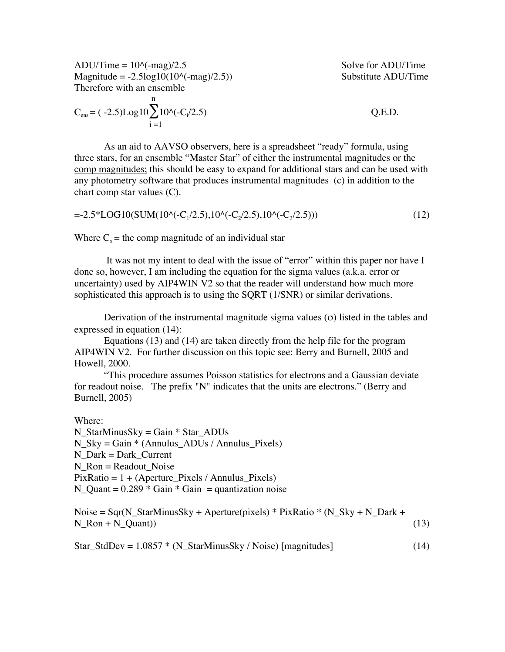$ADU/Time = 10<sup>0</sup>(-mag)/2.5$  Solve for ADU/Time  $Magnitude = -2.5log10(10<sup>o</sup>(-mag)/2.5))$  Substitute ADU/Time Therefore with an ensemble

$$
C_{\text{ens}} = (-2.5) \text{Log} 10 \sum_{i=1}^{n} 10^{i} (-C_i / 2.5)
$$
 Q.E.D.

As an aid to AAVSO observers, here is a spreadsheet "ready" formula, using three stars, for an ensemble "Master Star" of either the instrumental magnitudes or the comp magnitudes; this should be easy to expand for additional stars and can be used with any photometry software that produces instrumental magnitudes (c) in addition to the chart comp star values (C).

$$
=2.5*LOG10(SUM(10^(-C_1/2.5),10^(-C_2/2.5),10^(-C_3/2.5)))
$$
\n(12)

Where  $C<sub>x</sub>$  = the comp magnitude of an individual star

 It was not my intent to deal with the issue of "error" within this paper nor have I done so, however, I am including the equation for the sigma values (a.k.a. error or uncertainty) used by AIP4WIN V2 so that the reader will understand how much more sophisticated this approach is to using the SORT (1/SNR) or similar derivations.

Derivation of the instrumental magnitude sigma values  $(\sigma)$  listed in the tables and expressed in equation (14):

Equations (13) and (14) are taken directly from the help file for the program AIP4WIN V2. For further discussion on this topic see: Berry and Burnell, 2005 and Howell, 2000.

"This procedure assumes Poisson statistics for electrons and a Gaussian deviate for readout noise. The prefix "N" indicates that the units are electrons." (Berry and Burnell, 2005)

Where:

N\_StarMinusSky = Gain \* Star\_ADUs  $N_Sky = Gain * (Annulus_ADUs / Annulus_Pixels)$  $N$  Dark = Dark Current  $N$  Ron = Readout Noise  $PixRatio = 1 + (Aperture\;Pixels / Annulus\;Pixels)$ N\_Quant =  $0.289 *$  Gain  $*$  Gain = quantization noise

Noise =  $Sqr(N_StarMinusSky + Aperture(pixels) * PixRatio * (N_Sky + N_Dark +$  $N_Ron + N_Quant)$  (13)

 $Star\_StdDev = 1.0857 * (N\_StarMinusSky / Noise)$  [magnitudes] (14)